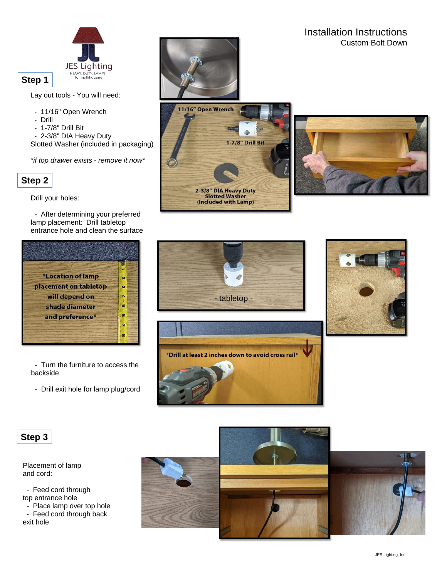

**Step 1**

Lay out tools - You will need:

- 11/16" Open Wrench
- Drill
- 1-7/8" Drill Bit

- 2-3/8" DIA Heavy Duty Slotted Washer (included in packaging)

*\*if top drawer exists - remove it now\**



Drill your holes:

- After determining your preferred lamp placement: Drill tabletop entrance hole and clean the surface







Installation Instructions

Custom Bolt Down





**Step 3**

Placement of lamp and cord:

- Feed cord through top entrance hole

- Place lamp over top hole - Feed cord through back

exit hole







- Turn the furniture to access the backside

- Drill exit hole for lamp plug/cord